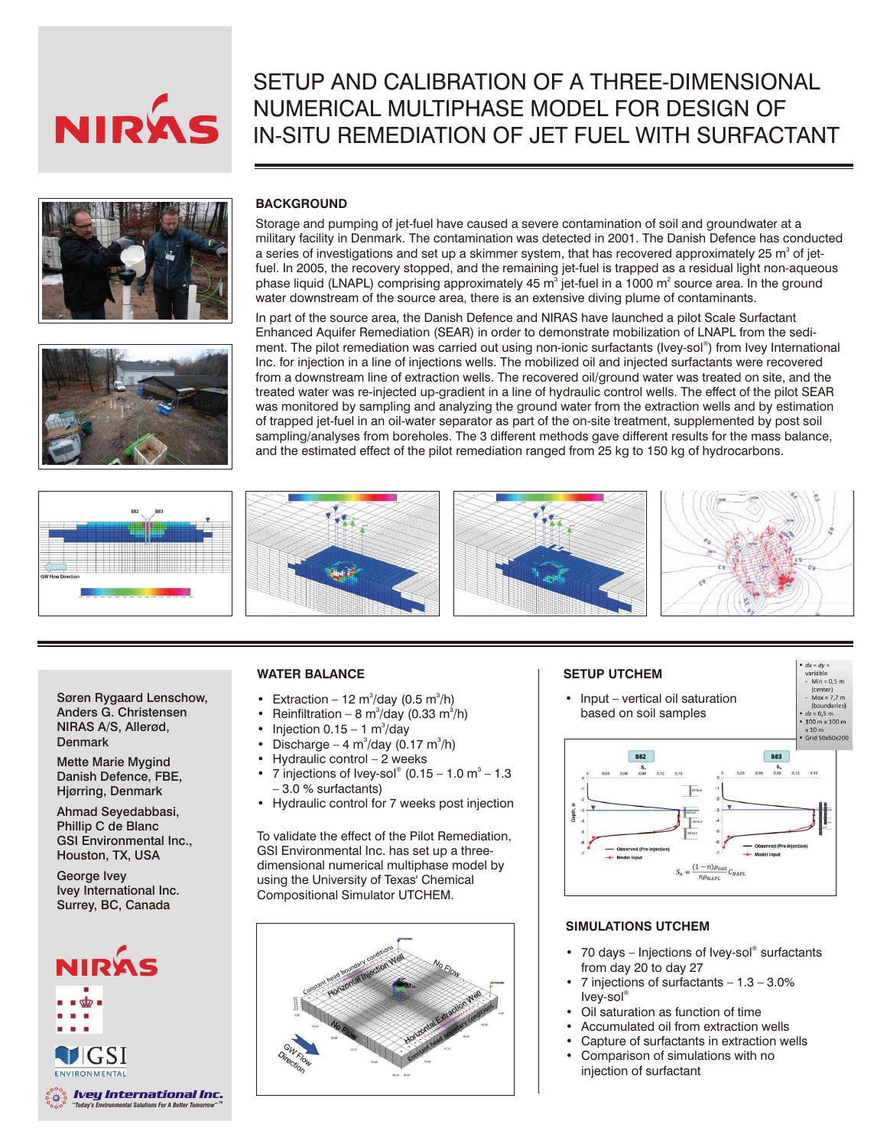

# SETUP AND CALIBRATION OF A THREE-DIMENSIONAL NUMERICAL MULTIPHASE MODEL FOR DESIGN OF IN-SITU REMEDIATION OF JET FUEL WITH SURFACTANT





## **BACKGROUND**

Storage and pumping of jet-fuel have caused a severe contamination of soil and groundwater at a military facility in Denmark. The contamination was detected in 2001. The Danish Defence has conducted a series of investigations and set up a skimmer system, that has recovered approximately 25 m<sup>3</sup> of jetfuel. In 2005, the recovery stopped, and the remaining jet-fuel is trapped as a residual light non-aqueous phase liquid (LNAPL) comprising approximately 45 m<sup>3</sup> jet-fuel in a 1000 m<sup>2</sup> source area. In the ground water downstream of the source area, there is an extensive diving plume of contaminants.

In part of the source area, the Danish Defence and NIRAS have launched a pilot Scale Surfactant Enhanced Aquifer Remediation (SEAR) in order to demonstrate mobilization of LNAPL from the sedi ment. The pilot remediation was carried out using non-ionic surfactants (Ivey-sol<sup>®</sup>) from Ivey International Inc. for injection in a line of injections wells. The mobilized oil and injected surfactants were recovered from a downstream line of extraction wells. The recovered oil/ground water was treated on site, and the treated water was re-injected up-gradient in a line of hydraulic control wells. The effect of the pilot SEAR was monitored by sampling and analyzing the ground water from the extraction wells and by estimation of trapped jet-fuel in an oil-water separator as part of the on-site treatment, supplemented by post soil sampling/analyses from boreholes. The 3 different methods gave different results for the mass balance, and the estimated effect of the pilot remediation ranged from 25 kg to 150 kg of hydrocarbons.



Søren Rygaard Lenschow, Anders G. Christensen NIRAS A/S, Allerød, **Denmark** 

Mette Marie Mygind Danish Defence, FBE, Hjørring, Denmark

Ahmad Seyedabbasi, Phillip C de Blanc GSI Environmental Inc., Houston, TX, USA

George Ivey Ivey International Inc. Surrey, BC, Canada



#### **WATER BALANCE**

- Extraction 12 m<sup>3</sup>/day (0.5 m<sup>3</sup>/h)
- Reinfiltration 8 m<sup>3</sup>/day (0.33 m<sup>3</sup>/h)
- Injection  $0.15 1$  m<sup>3</sup>/day
- Discharge 4 m $\degree$ /day (0.17 m $\degree$ /h)
- Hydraulic control  $-2$  weeks
- 7 injections of Ivey-sol<sup>®</sup> (0.15 1.0 m<sup>3</sup> 1.3 – 3.0 % surfactants)
- Hydraulic control for 7 weeks post injection

To validate the effect of the Pilot Remediation, GSI Environmental Inc. has set up a threedimensional numerical multiphase model by using the University of Texas' Chemical Compositional Simulator UTCHEM.





## **SIMULATIONS UTCHEM**

- 70 days Injections of Ivey-sol® surfactants from day 20 to day 27
- 7 injections of surfactants  $-1.3 3.0\%$ ® Ivey-sol
- Oil saturation as function of time
- Accumulated oil from extraction wells • Capture of surfactants in extraction wells
- Comparison of simulations with no injection of surfactant